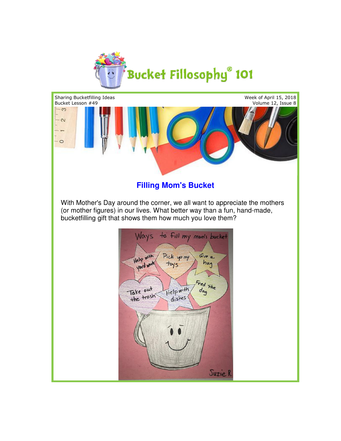



With Mother's Day around the corner, we all want to appreciate the mothers (or mother figures) in our lives. What better way than a fun, hand-made, bucketfilling gift that shows them how much you love them?